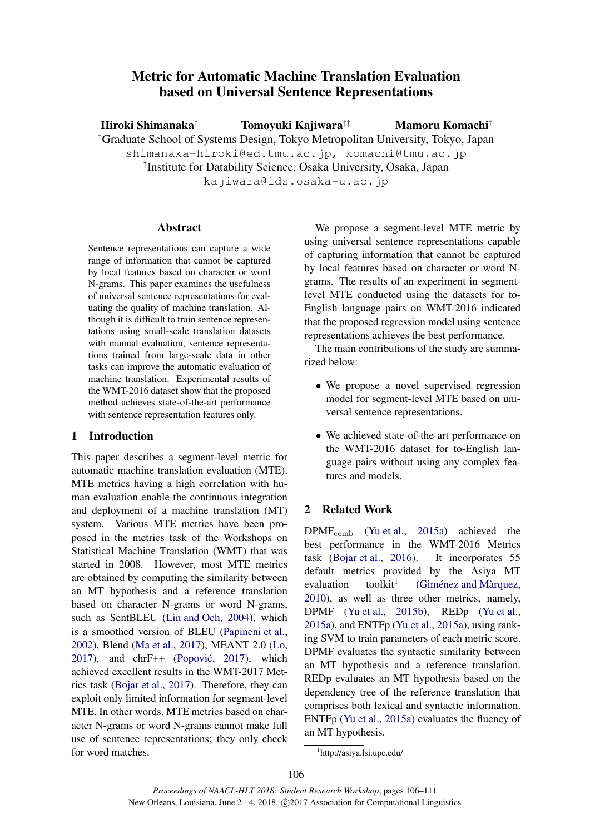# Metric for Automatic Machine Translation Evaluation based on Universal Sentence Representations

Hiroki Shimanaka† Tomoyuki Kajiwara†‡

Mamoru Komachi†

†Graduate School of Systems Design, Tokyo Metropolitan University, Tokyo, Japan

shimanaka-hiroki@ed.tmu.ac.jp, komachi@tmu.ac.jp

‡ Institute for Datability Science, Osaka University, Osaka, Japan

kajiwara@ids.osaka-u.ac.jp

### Abstract

Sentence representations can capture a wide range of information that cannot be captured by local features based on character or word N-grams. This paper examines the usefulness of universal sentence representations for evaluating the quality of machine translation. Although it is difficult to train sentence representations using small-scale translation datasets with manual evaluation, sentence representations trained from large-scale data in other tasks can improve the automatic evaluation of machine translation. Experimental results of the WMT-2016 dataset show that the proposed method achieves state-of-the-art performance with sentence representation features only.

## 1 Introduction

This paper describes a segment-level metric for automatic machine translation evaluation (MTE). MTE metrics having a high correlation with human evaluation enable the continuous integration and deployment of a machine translation (MT) system. Various MTE metrics have been proposed in the metrics task of the Workshops on Statistical Machine Translation (WMT) that was started in 2008. However, most MTE metrics are obtained by computing the similarity between an MT hypothesis and a reference translation based on character N-grams or word N-grams, such as SentBLEU (Lin and Och, 2004), which is a smoothed version of BLEU (Papineni et al., 2002), Blend (Ma et al., 2017), MEANT 2.0 (Lo, 2017), and  $chrF++$  (Popović, 2017), which achieved excellent results in the WMT-2017 Metrics task (Bojar et al., 2017). Therefore, they can exploit only limited information for segment-level MTE. In other words, MTE metrics based on character N-grams or word N-grams cannot make full use of sentence representations; they only check for word matches.

We propose a segment-level MTE metric by using universal sentence representations capable of capturing information that cannot be captured by local features based on character or word Ngrams. The results of an experiment in segmentlevel MTE conducted using the datasets for to-English language pairs on WMT-2016 indicated that the proposed regression model using sentence representations achieves the best performance.

The main contributions of the study are summarized below:

- We propose a novel supervised regression model for segment-level MTE based on universal sentence representations.
- We achieved state-of-the-art performance on the WMT-2016 dataset for to-English language pairs without using any complex features and models.

## 2 Related Work

 $DPMF<sub>comb</sub>$  (Yu et al., 2015a) achieved the best performance in the WMT-2016 Metrics task (Bojar et al., 2016). It incorporates 55 default metrics provided by the Asiya MT evaluation toolkit $<sup>1</sup>$ </sup> (Giménez and Màrquez, 2010), as well as three other metrics, namely, DPMF (Yu et al., 2015b), REDp (Yu et al., 2015a), and ENTFp (Yu et al., 2015a), using ranking SVM to train parameters of each metric score. DPMF evaluates the syntactic similarity between an MT hypothesis and a reference translation. REDp evaluates an MT hypothesis based on the dependency tree of the reference translation that comprises both lexical and syntactic information. ENTFp (Yu et al., 2015a) evaluates the fluency of an MT hypothesis.

<sup>1</sup> http://asiya.lsi.upc.edu/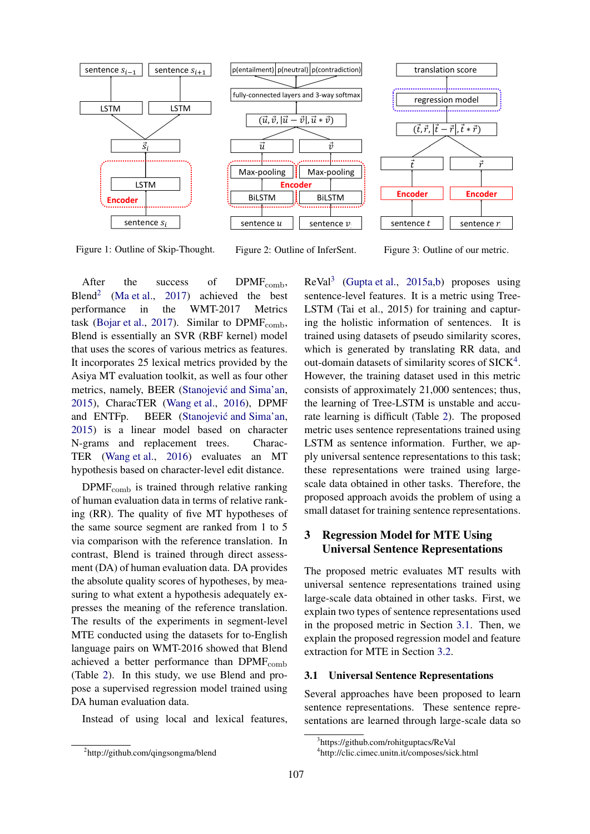

Figure 1: Outline of Skip-Thought. Figure 2: Outline of InferSent. Figure 3: Outline of our metric.

After the success of  $DPMF_{comb}$ ,  $B$ lend<sup>2</sup> (Ma et al., 2017) achieved the best performance in the WMT-2017 Metrics task (Bojar et al., 2017). Similar to  $DPMF<sub>comb</sub>$ , Blend is essentially an SVR (RBF kernel) model that uses the scores of various metrics as features. It incorporates 25 lexical metrics provided by the Asiya MT evaluation toolkit, as well as four other metrics, namely, BEER (Stanojević and Sima'an, 2015), CharacTER (Wang et al., 2016), DPMF and ENTFp. BEER (Stanojević and Sima'an, 2015) is a linear model based on character N-grams and replacement trees. Charac-TER (Wang et al., 2016) evaluates an MT hypothesis based on character-level edit distance.

 $DPMF<sub>comb</sub>$  is trained through relative ranking of human evaluation data in terms of relative ranking (RR). The quality of five MT hypotheses of the same source segment are ranked from 1 to 5 via comparison with the reference translation. In contrast, Blend is trained through direct assessment (DA) of human evaluation data. DA provides the absolute quality scores of hypotheses, by measuring to what extent a hypothesis adequately expresses the meaning of the reference translation. The results of the experiments in segment-level MTE conducted using the datasets for to-English language pairs on WMT-2016 showed that Blend achieved a better performance than  $DPMF_{comb}$ (Table 2). In this study, we use Blend and propose a supervised regression model trained using DA human evaluation data.

Instead of using local and lexical features,

 $ReVal<sup>3</sup>$  (Gupta et al., 2015a,b) proposes using sentence-level features. It is a metric using Tree-LSTM (Tai et al., 2015) for training and capturing the holistic information of sentences. It is trained using datasets of pseudo similarity scores, which is generated by translating RR data, and out-domain datasets of similarity scores of SICK<sup>4</sup>. However, the training dataset used in this metric consists of approximately 21,000 sentences; thus, the learning of Tree-LSTM is unstable and accurate learning is difficult (Table 2). The proposed metric uses sentence representations trained using LSTM as sentence information. Further, we apply universal sentence representations to this task; these representations were trained using largescale data obtained in other tasks. Therefore, the proposed approach avoids the problem of using a small dataset for training sentence representations.

## 3 Regression Model for MTE Using Universal Sentence Representations

The proposed metric evaluates MT results with universal sentence representations trained using large-scale data obtained in other tasks. First, we explain two types of sentence representations used in the proposed metric in Section 3.1. Then, we explain the proposed regression model and feature extraction for MTE in Section 3.2.

### 3.1 Universal Sentence Representations

Several approaches have been proposed to learn sentence representations. These sentence representations are learned through large-scale data so

<sup>&</sup>lt;sup>2</sup>http://github.com/qingsongma/blend

<sup>3</sup> https://github.com/rohitguptacs/ReVal

<sup>4</sup> http://clic.cimec.unitn.it/composes/sick.html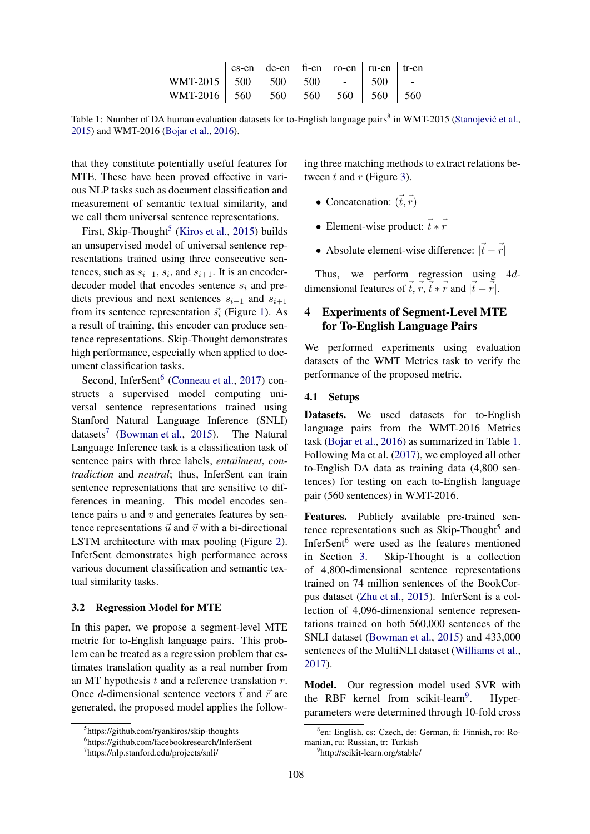|                                  | $\csc$ -en $\vert$ de-en $\vert$ fi-en $\vert$ ro-en $\vert$ ru-en $\vert$ tr-en |                          |     |       |
|----------------------------------|----------------------------------------------------------------------------------|--------------------------|-----|-------|
| WMT-2015   $500$   $500$   $500$ |                                                                                  | <b>Contract Contract</b> | 500 |       |
| WMT-2016 $\vert$ 560             | 560   560   560   560                                                            |                          |     | - 560 |

Table 1: Number of DA human evaluation datasets for to-English language pairs<sup>8</sup> in WMT-2015 (Stanojević et al., 2015) and WMT-2016 (Bojar et al., 2016).

that they constitute potentially useful features for MTE. These have been proved effective in various NLP tasks such as document classification and measurement of semantic textual similarity, and we call them universal sentence representations.

First, Skip-Thought<sup>5</sup> (Kiros et al., 2015) builds an unsupervised model of universal sentence representations trained using three consecutive sentences, such as  $s_{i-1}$ ,  $s_i$ , and  $s_{i+1}$ . It is an encoderdecoder model that encodes sentence  $s_i$  and predicts previous and next sentences  $s_{i-1}$  and  $s_{i+1}$ from its sentence representation  $\vec{s}_i$  (Figure 1). As a result of training, this encoder can produce sentence representations. Skip-Thought demonstrates high performance, especially when applied to document classification tasks.

Second, InferSent<sup>6</sup> (Conneau et al., 2017) constructs a supervised model computing universal sentence representations trained using Stanford Natural Language Inference (SNLI) datasets<sup>7</sup> (Bowman et al., 2015). The Natural Language Inference task is a classification task of sentence pairs with three labels, *entailment*, *contradiction* and *neutral*; thus, InferSent can train sentence representations that are sensitive to differences in meaning. This model encodes sentence pairs  $u$  and  $v$  and generates features by sentence representations  $\vec{u}$  and  $\vec{v}$  with a bi-directional LSTM architecture with max pooling (Figure 2). InferSent demonstrates high performance across various document classification and semantic textual similarity tasks.

#### 3.2 Regression Model for MTE

In this paper, we propose a segment-level MTE metric for to-English language pairs. This problem can be treated as a regression problem that estimates translation quality as a real number from an MT hypothesis  $t$  and a reference translation  $r$ . Once d-dimensional sentence vectors  $\vec{t}$  and  $\vec{r}$  are generated, the proposed model applies the follow-

ing three matching methods to extract relations between  $t$  and  $r$  (Figure 3).

- Concatenation:  $(\vec{t}, \vec{r})$
- Element-wise product:  $\vec{t} * \vec{r}$
- Absolute element-wise difference:  $|\vec{t} \vec{r}|$

Thus, we perform regression using 4ddimensional features of  $\vec{t}$ ,  $\vec{r}$ ,  $\vec{t} \times \vec{r}$  and  $|\vec{t} - \vec{r}|$ .

## 4 Experiments of Segment-Level MTE for To-English Language Pairs

We performed experiments using evaluation datasets of the WMT Metrics task to verify the performance of the proposed metric.

### 4.1 Setups

Datasets. We used datasets for to-English language pairs from the WMT-2016 Metrics task (Bojar et al., 2016) as summarized in Table 1. Following Ma et al. (2017), we employed all other to-English DA data as training data (4,800 sentences) for testing on each to-English language pair (560 sentences) in WMT-2016.

Features. Publicly available pre-trained sentence representations such as Skip-Thought<sup>5</sup> and InferSent<sup>6</sup> were used as the features mentioned in Section 3. Skip-Thought is a collection of 4,800-dimensional sentence representations trained on 74 million sentences of the BookCorpus dataset (Zhu et al., 2015). InferSent is a collection of 4,096-dimensional sentence representations trained on both 560,000 sentences of the SNLI dataset (Bowman et al., 2015) and 433,000 sentences of the MultiNLI dataset (Williams et al., 2017).

Model. Our regression model used SVR with the RBF kernel from scikit-learn<sup>9</sup>. . Hyperparameters were determined through 10-fold cross

<sup>&</sup>lt;sup>5</sup>https://github.com/ryankiros/skip-thoughts

<sup>6</sup> https://github.com/facebookresearch/InferSent

<sup>7</sup> https://nlp.stanford.edu/projects/snli/

<sup>8</sup> en: English, cs: Czech, de: German, fi: Finnish, ro: Romanian, ru: Russian, tr: Turkish

<sup>9</sup> http://scikit-learn.org/stable/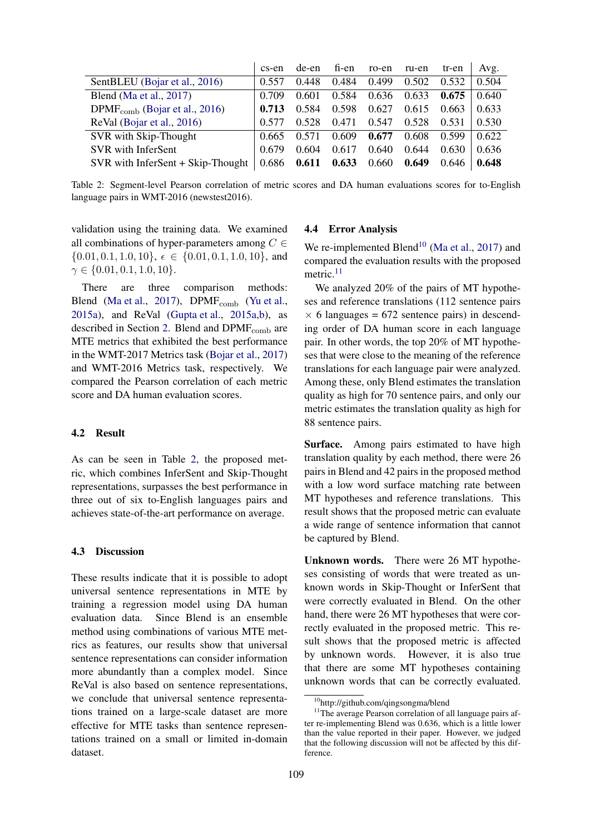|                                     | cs-en | de-en | fi-en | ro-en | ru-en | tr-en | Avg.  |
|-------------------------------------|-------|-------|-------|-------|-------|-------|-------|
| SentBLEU (Bojar et al., 2016)       | 0.557 | 0.448 | 0.484 | 0.499 | 0.502 | 0.532 | 0.504 |
| Blend (Ma et al., $2017$ )          | 0.709 | 0.601 | 0.584 | 0.636 | 0.633 | 0.675 | 0.640 |
| $DPMFcomb$ (Bojar et al., 2016)     | 0.713 | 0.584 | 0.598 | 0.627 | 0.615 | 0.663 | 0.633 |
| ReVal (Bojar et al., 2016)          | 0.577 | 0.528 | 0.471 | 0.547 | 0.528 | 0.531 | 0.530 |
| SVR with Skip-Thought               | 0.665 | 0.571 | 0.609 | 0.677 | 0.608 | 0.599 | 0.622 |
| SVR with InferSent                  | 0.679 | 0.604 | 0.617 | 0.640 | 0.644 | 0.630 | 0.636 |
| $SVR$ with InferSent + Skip-Thought | 0.686 | 0.611 | 0.633 | 0.660 | 0.649 | 0.646 | 0.648 |

Table 2: Segment-level Pearson correlation of metric scores and DA human evaluations scores for to-English language pairs in WMT-2016 (newstest2016).

validation using the training data. We examined all combinations of hyper-parameters among  $C \in$  $\{0.01, 0.1, 1.0, 10\}, \epsilon \in \{0.01, 0.1, 1.0, 10\}, \text{ and }$  $\gamma \in \{0.01, 0.1, 1.0, 10\}.$ 

There are three comparison methods: Blend (Ma et al., 2017), DPMF<sub>comb</sub> (Yu et al., 2015a), and ReVal (Gupta et al., 2015a,b), as described in Section 2. Blend and  $DPMF<sub>comb</sub>$  are MTE metrics that exhibited the best performance in the WMT-2017 Metrics task (Bojar et al., 2017) and WMT-2016 Metrics task, respectively. We compared the Pearson correlation of each metric score and DA human evaluation scores.

#### 4.2 Result

As can be seen in Table 2, the proposed metric, which combines InferSent and Skip-Thought representations, surpasses the best performance in three out of six to-English languages pairs and achieves state-of-the-art performance on average.

#### 4.3 Discussion

These results indicate that it is possible to adopt universal sentence representations in MTE by training a regression model using DA human evaluation data. Since Blend is an ensemble method using combinations of various MTE metrics as features, our results show that universal sentence representations can consider information more abundantly than a complex model. Since ReVal is also based on sentence representations, we conclude that universal sentence representations trained on a large-scale dataset are more effective for MTE tasks than sentence representations trained on a small or limited in-domain dataset.

#### 4.4 Error Analysis

We re-implemented Blend<sup>10</sup> (Ma et al., 2017) and compared the evaluation results with the proposed metric. $11$ 

We analyzed 20% of the pairs of MT hypotheses and reference translations (112 sentence pairs  $\times$  6 languages = 672 sentence pairs) in descending order of DA human score in each language pair. In other words, the top 20% of MT hypotheses that were close to the meaning of the reference translations for each language pair were analyzed. Among these, only Blend estimates the translation quality as high for 70 sentence pairs, and only our metric estimates the translation quality as high for 88 sentence pairs.

Surface. Among pairs estimated to have high translation quality by each method, there were 26 pairs in Blend and 42 pairs in the proposed method with a low word surface matching rate between MT hypotheses and reference translations. This result shows that the proposed metric can evaluate a wide range of sentence information that cannot be captured by Blend.

Unknown words. There were 26 MT hypotheses consisting of words that were treated as unknown words in Skip-Thought or InferSent that were correctly evaluated in Blend. On the other hand, there were 26 MT hypotheses that were correctly evaluated in the proposed metric. This result shows that the proposed metric is affected by unknown words. However, it is also true that there are some MT hypotheses containing unknown words that can be correctly evaluated.

<sup>10</sup>http://github.com/qingsongma/blend

<sup>&</sup>lt;sup>11</sup>The average Pearson correlation of all language pairs after re-implementing Blend was 0.636, which is a little lower than the value reported in their paper. However, we judged that the following discussion will not be affected by this difference.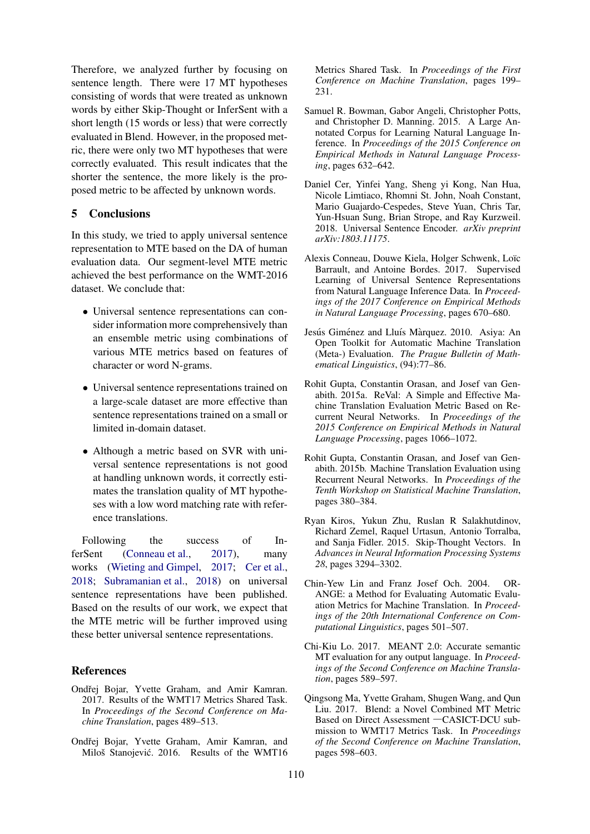Therefore, we analyzed further by focusing on sentence length. There were 17 MT hypotheses consisting of words that were treated as unknown words by either Skip-Thought or InferSent with a short length (15 words or less) that were correctly evaluated in Blend. However, in the proposed metric, there were only two MT hypotheses that were correctly evaluated. This result indicates that the shorter the sentence, the more likely is the proposed metric to be affected by unknown words.

### 5 Conclusions

In this study, we tried to apply universal sentence representation to MTE based on the DA of human evaluation data. Our segment-level MTE metric achieved the best performance on the WMT-2016 dataset. We conclude that:

- Universal sentence representations can consider information more comprehensively than an ensemble metric using combinations of various MTE metrics based on features of character or word N-grams.
- Universal sentence representations trained on a large-scale dataset are more effective than sentence representations trained on a small or limited in-domain dataset.
- Although a metric based on SVR with universal sentence representations is not good at handling unknown words, it correctly estimates the translation quality of MT hypotheses with a low word matching rate with reference translations.

Following the success of InferSent (Conneau et al., 2017), many works (Wieting and Gimpel, 2017; Cer et al., 2018; Subramanian et al., 2018) on universal sentence representations have been published. Based on the results of our work, we expect that the MTE metric will be further improved using these better universal sentence representations.

#### **References**

- Ondřej Bojar, Yvette Graham, and Amir Kamran. 2017. Results of the WMT17 Metrics Shared Task. In *Proceedings of the Second Conference on Machine Translation*, pages 489–513.
- Ondřej Bojar, Yvette Graham, Amir Kamran, and Miloš Stanojević. 2016. Results of the WMT16

Metrics Shared Task. In *Proceedings of the First Conference on Machine Translation*, pages 199– 231.

- Samuel R. Bowman, Gabor Angeli, Christopher Potts, and Christopher D. Manning. 2015. A Large Annotated Corpus for Learning Natural Language Inference. In *Proceedings of the 2015 Conference on Empirical Methods in Natural Language Processing*, pages 632–642.
- Daniel Cer, Yinfei Yang, Sheng yi Kong, Nan Hua, Nicole Limtiaco, Rhomni St. John, Noah Constant, Mario Guajardo-Cespedes, Steve Yuan, Chris Tar, Yun-Hsuan Sung, Brian Strope, and Ray Kurzweil. 2018. Universal Sentence Encoder. *arXiv preprint arXiv:1803.11175*.
- Alexis Conneau, Douwe Kiela, Holger Schwenk, Loïc Barrault, and Antoine Bordes. 2017. Supervised Learning of Universal Sentence Representations from Natural Language Inference Data. In *Proceedings of the 2017 Conference on Empirical Methods in Natural Language Processing*, pages 670–680.
- Jesús Giménez and Lluís Màrquez. 2010. Asiya: An Open Toolkit for Automatic Machine Translation (Meta-) Evaluation. *The Prague Bulletin of Mathematical Linguistics*, (94):77–86.
- Rohit Gupta, Constantin Orasan, and Josef van Genabith. 2015a. ReVal: A Simple and Effective Machine Translation Evaluation Metric Based on Recurrent Neural Networks. In *Proceedings of the 2015 Conference on Empirical Methods in Natural Language Processing*, pages 1066–1072.
- Rohit Gupta, Constantin Orasan, and Josef van Genabith. 2015b. Machine Translation Evaluation using Recurrent Neural Networks. In *Proceedings of the Tenth Workshop on Statistical Machine Translation*, pages 380–384.
- Ryan Kiros, Yukun Zhu, Ruslan R Salakhutdinov, Richard Zemel, Raquel Urtasun, Antonio Torralba, and Sanja Fidler. 2015. Skip-Thought Vectors. In *Advances in Neural Information Processing Systems 28*, pages 3294–3302.
- Chin-Yew Lin and Franz Josef Och. 2004. OR-ANGE: a Method for Evaluating Automatic Evaluation Metrics for Machine Translation. In *Proceedings of the 20th International Conference on Computational Linguistics*, pages 501–507.
- Chi-Kiu Lo. 2017. MEANT 2.0: Accurate semantic MT evaluation for any output language. In *Proceedings of the Second Conference on Machine Translation*, pages 589–597.
- Qingsong Ma, Yvette Graham, Shugen Wang, and Qun Liu. 2017. Blend: a Novel Combined MT Metric Based on Direct Assessment ―CASICT-DCU submission to WMT17 Metrics Task. In *Proceedings of the Second Conference on Machine Translation*, pages 598–603.